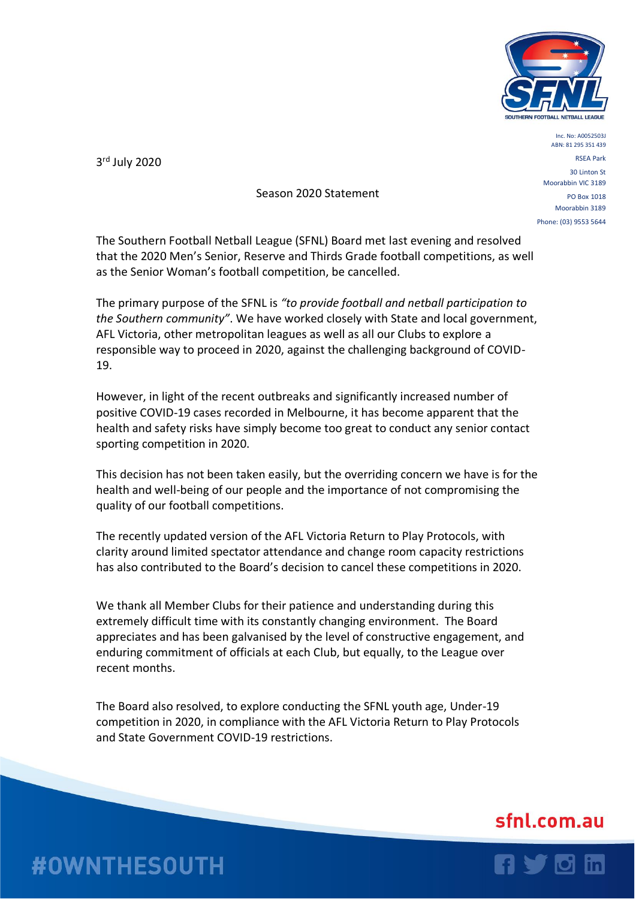

3 rd July 2020

## Season 2020 Statement

Inc. No: A0052503J ABN: 81 295 351 439 RSEA Park 30 Linton St Moorabbin VIC 3189 PO Box 1018 Moorabbin 3189 Phone: (03) 9553 5644

The Southern Football Netball League (SFNL) Board met last evening and resolved that the 2020 Men's Senior, Reserve and Thirds Grade football competitions, as well as the Senior Woman's football competition, be cancelled.

The primary purpose of the SFNL is *"to provide football and netball participation to the Southern community"*. We have worked closely with State and local government, AFL Victoria, other metropolitan leagues as well as all our Clubs to explore a responsible way to proceed in 2020, against the challenging background of COVID-19.

However, in light of the recent outbreaks and significantly increased number of positive COVID-19 cases recorded in Melbourne, it has become apparent that the health and safety risks have simply become too great to conduct any senior contact sporting competition in 2020.

This decision has not been taken easily, but the overriding concern we have is for the health and well-being of our people and the importance of not compromising the quality of our football competitions.

The recently updated version of the AFL Victoria Return to Play Protocols, with clarity around limited spectator attendance and change room capacity restrictions has also contributed to the Board's decision to cancel these competitions in 2020.

We thank all Member Clubs for their patience and understanding during this extremely difficult time with its constantly changing environment. The Board appreciates and has been galvanised by the level of constructive engagement, and enduring commitment of officials at each Club, but equally, to the League over recent months.

The Board also resolved, to explore conducting the SFNL youth age, Under-19 competition in 2020, in compliance with the AFL Victoria Return to Play Protocols and State Government COVID-19 restrictions.

## sfnl.com.au



## **#OWNTHESOUTH**